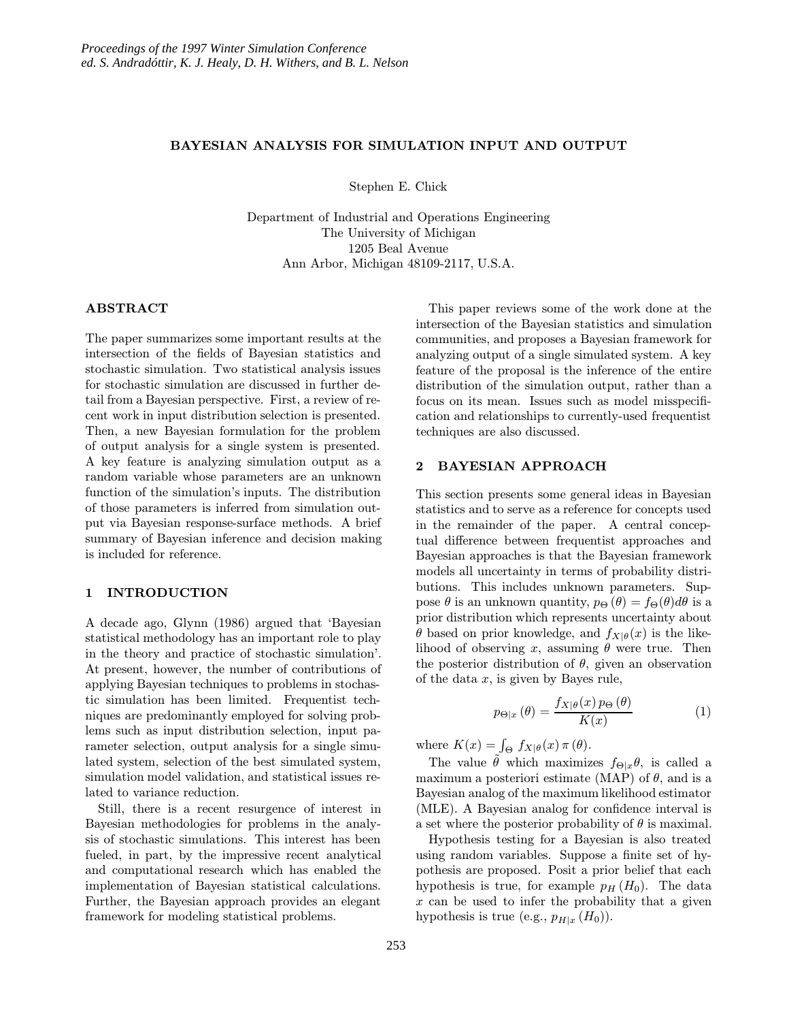### BAYESIAN ANALYSIS FOR SIMULATION INPUT AND OUTPUT

Stephen E. Chick

Department of Industrial and Operations Engineering The University of Michigan 1205 Beal Avenue Ann Arbor, Michigan 48109-2117, U.S.A.

### ABSTRACT

The paper summarizes some important results at the intersection of the fields of Bayesian statistics and stochastic simulation. Two statistical analysis issues for stochastic simulation are discussed in further detail from a Bayesian perspective. First, a review of recent work in input distribution selection is presented. Then, a new Bayesian formulation for the problem of output analysis for a single system is presented. A key feature is analyzing simulation output as a random variable whose parameters are an unknown function of the simulation's inputs. The distribution of those parameters is inferred from simulation output via Bayesian response-surface methods. A brief summary of Bayesian inference and decision making is included for reference.

### 1 INTRODUCTION

A decade ago, Glynn (1986) argued that 'Bayesian statistical methodology has an important role to play in the theory and practice of stochastic simulation'. At present, however, the number of contributions of applying Bayesian techniques to problems in stochastic simulation has been limited. Frequentist techniques are predominantly employed for solving problems such as input distribution selection, input parameter selection, output analysis for a single simulated system, selection of the best simulated system, simulation model validation, and statistical issues related to variance reduction.

Still, there is a recent resurgence of interest in Bayesian methodologies for problems in the analysis of stochastic simulations. This interest has been fueled, in part, by the impressive recent analytical and computational research which has enabled the implementation of Bayesian statistical calculations. Further, the Bayesian approach provides an elegant framework for modeling statistical problems.

This paper reviews some of the work done at the intersection of the Bayesian statistics and simulation communities, and proposes a Bayesian framework for analyzing output of a single simulated system. A key feature of the proposal is the inference of the entire distribution of the simulation output, rather than a focus on its mean. Issues such as model misspecification and relationships to currently-used frequentist techniques are also discussed.

### 2 BAYESIAN APPROACH

This section presents some general ideas in Bayesian statistics and to serve as a reference for concepts used in the remainder of the paper. A central conceptual difference between frequentist approaches and Bayesian approaches is that the Bayesian framework models all uncertainty in terms of probability distributions. This includes unknown parameters. Suppose  $\theta$  is an unknown quantity,  $p_{\Theta}(\theta) = f_{\Theta}(\theta) d\theta$  is a prior distribution which represents uncertainty about θ based on prior knowledge, and  $f_{X|\theta}(x)$  is the likelihood of observing x, assuming  $\theta$  were true. Then the posterior distribution of  $\theta$ , given an observation of the data  $x$ , is given by Bayes rule,

$$
p_{\Theta|x}(\theta) = \frac{f_{X|\theta}(x) p_{\Theta}(\theta)}{K(x)}
$$
(1)

where  $K(x) = \int_{\Theta} f_{X|\theta}(x) \pi(\theta)$ .

The value  $\theta$  which maximizes  $f_{\Theta|x}\theta$ , is called a maximum a posteriori estimate (MAP) of  $\theta$ , and is a Bayesian analog of the maximum likelihood estimator (MLE). A Bayesian analog for confidence interval is a set where the posterior probability of  $\theta$  is maximal.

Hypothesis testing for a Bayesian is also treated using random variables. Suppose a finite set of hypothesis are proposed. Posit a prior belief that each hypothesis is true, for example  $p_H (H_0)$ . The data  $x$  can be used to infer the probability that a given hypothesis is true (e.g.,  $p_{H|x} (H_0)$ ).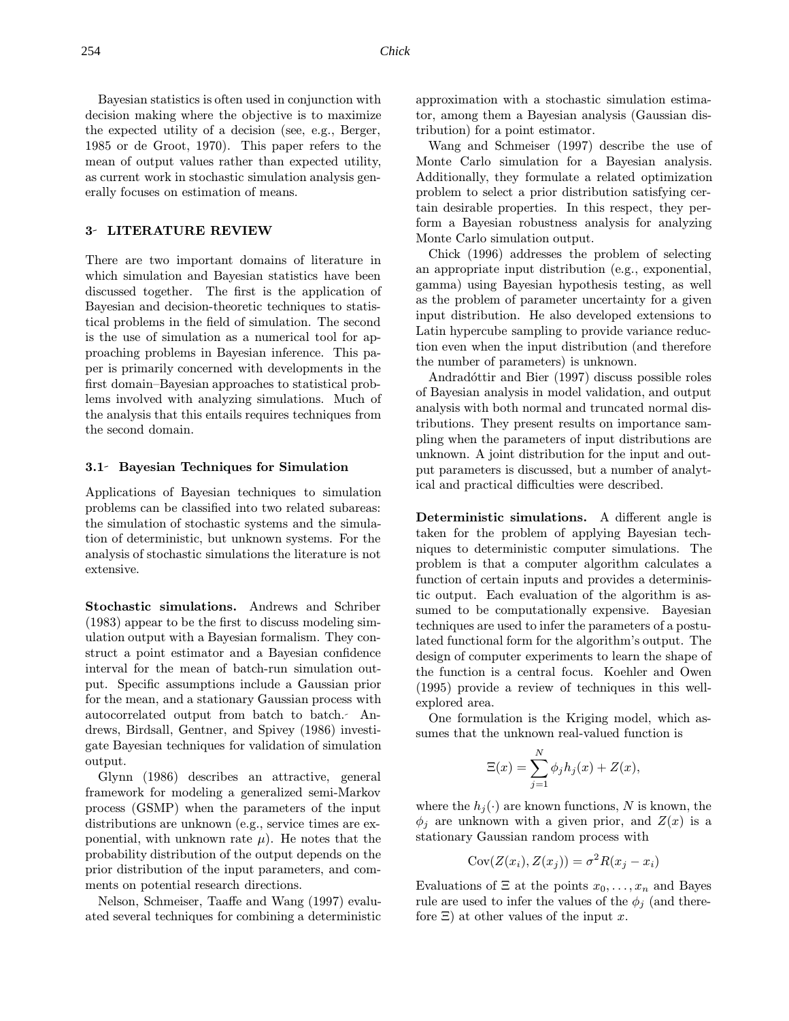Bayesian statistics is often used in conjunction with decision making where the objective is to maximize the expected utility of a decision (see, e.g., Berger, 1985 or de Groot, 1970). This paper refers to the mean of output values rather than expected utility, as current work in stochastic simulation analysis generally focuses on estimation of means.

#### 3 LITERATURE REVIEW

There are two important domains of literature in which simulation and Bayesian statistics have been discussed together. The first is the application of Bayesian and decision-theoretic techniques to statistical problems in the field of simulation. The second is the use of simulation as a numerical tool for approaching problems in Bayesian inference. This paper is primarily concerned with developments in the first domain–Bayesian approaches to statistical problems involved with analyzing simulations. Much of the analysis that this entails requires techniques from the second domain.

### 3.1 Bayesian Techniques for Simulation

Applications of Bayesian techniques to simulation problems can be classified into two related subareas: the simulation of stochastic systems and the simulation of deterministic, but unknown systems. For the analysis of stochastic simulations the literature is not extensive.

Stochastic simulations. Andrews and Schriber (1983) appear to be the first to discuss modeling simulation output with a Bayesian formalism. They construct a point estimator and a Bayesian confidence interval for the mean of batch-run simulation output. Specific assumptions include a Gaussian prior for the mean, and a stationary Gaussian process with autocorrelated output from batch to batch. Andrews, Birdsall, Gentner, and Spivey (1986) investigate Bayesian techniques for validation of simulation output.

Glynn (1986) describes an attractive, general framework for modeling a generalized semi-Markov process (GSMP) when the parameters of the input distributions are unknown (e.g., service times are exponential, with unknown rate  $\mu$ ). He notes that the probability distribution of the output depends on the prior distribution of the input parameters, and comments on potential research directions.

Nelson, Schmeiser, Taaffe and Wang (1997) evaluated several techniques for combining a deterministic approximation with a stochastic simulation estimator, among them a Bayesian analysis (Gaussian distribution) for a point estimator.

Wang and Schmeiser (1997) describe the use of Monte Carlo simulation for a Bayesian analysis. Additionally, they formulate a related optimization problem to select a prior distribution satisfying certain desirable properties. In this respect, they perform a Bayesian robustness analysis for analyzing Monte Carlo simulation output.

Chick (1996) addresses the problem of selecting an appropriate input distribution (e.g., exponential, gamma) using Bayesian hypothesis testing, as well as the problem of parameter uncertainty for a given input distribution. He also developed extensions to Latin hypercube sampling to provide variance reduction even when the input distribution (and therefore the number of parameters) is unknown.

Andradóttir and Bier (1997) discuss possible roles of Bayesian analysis in model validation, and output analysis with both normal and truncated normal distributions. They present results on importance sampling when the parameters of input distributions are unknown. A joint distribution for the input and output parameters is discussed, but a number of analytical and practical difficulties were described.

Deterministic simulations. A different angle is taken for the problem of applying Bayesian techniques to deterministic computer simulations. The problem is that a computer algorithm calculates a function of certain inputs and provides a deterministic output. Each evaluation of the algorithm is assumed to be computationally expensive. Bayesian techniques are used to infer the parameters of a postulated functional form for the algorithm's output. The design of computer experiments to learn the shape of the function is a central focus. Koehler and Owen (1995) provide a review of techniques in this wellexplored area.

One formulation is the Kriging model, which assumes that the unknown real-valued function is

$$
\Xi(x) = \sum_{j=1}^{N} \phi_j h_j(x) + Z(x),
$$

where the  $h_j(\cdot)$  are known functions, N is known, the  $\phi_j$  are unknown with a given prior, and  $Z(x)$  is a stationary Gaussian random process with

$$
Cov(Z(x_i), Z(x_j)) = \sigma^2 R(x_j - x_i)
$$

Evaluations of  $\Xi$  at the points  $x_0, \ldots, x_n$  and Bayes rule are used to infer the values of the  $\phi_i$  (and therefore  $\Xi$ ) at other values of the input x.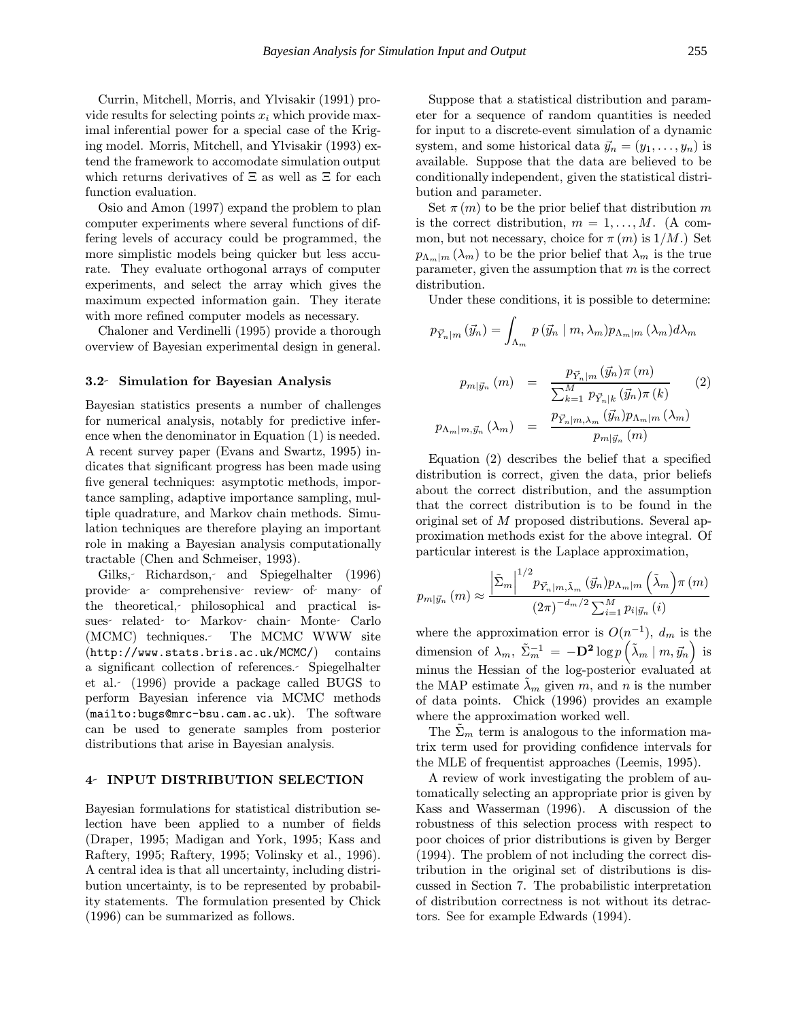Currin, Mitchell, Morris, and Ylvisakir (1991) provide results for selecting points  $x_i$  which provide maximal inferential power for a special case of the Kriging model. Morris, Mitchell, and Ylvisakir (1993) extend the framework to accomodate simulation output which returns derivatives of  $\Xi$  as well as  $\Xi$  for each function evaluation.

Osio and Amon (1997) expand the problem to plan computer experiments where several functions of differing levels of accuracy could be programmed, the more simplistic models being quicker but less accurate. They evaluate orthogonal arrays of computer experiments, and select the array which gives the maximum expected information gain. They iterate with more refined computer models as necessary.

Chaloner and Verdinelli (1995) provide a thorough overview of Bayesian experimental design in general.

#### 3.2 Simulation for Bayesian Analysis

Bayesian statistics presents a number of challenges for numerical analysis, notably for predictive inference when the denominator in Equation (1) is needed. A recent survey paper (Evans and Swartz, 1995) indicates that significant progress has been made using five general techniques: asymptotic methods, importance sampling, adaptive importance sampling, multiple quadrature, and Markov chain methods. Simulation techniques are therefore playing an important role in making a Bayesian analysis computationally tractable (Chen and Schmeiser, 1993).

Gilks, Richardson, and Spiegelhalter (1996) provide a comprehensive review of many of the theoretical, philosophical and practical issues related to Markov chain Monte Carlo (MCMC) techniques. The MCMC WWW site (http://www.stats.bris.ac.uk/MCMC/) contains a significant collection of references. Spiegelhalter et al. (1996) provide a package called BUGS to perform Bayesian inference via MCMC methods (mailto:bugs@mrc-bsu.cam.ac.uk). The software can be used to generate samples from posterior distributions that arise in Bayesian analysis.

## 4 INPUT DISTRIBUTION SELECTION

Bayesian formulations for statistical distribution selection have been applied to a number of fields (Draper, 1995; Madigan and York, 1995; Kass and Raftery, 1995; Raftery, 1995; Volinsky et al., 1996). A central idea is that all uncertainty, including distribution uncertainty, is to be represented by probability statements. The formulation presented by Chick (1996) can be summarized as follows.

Suppose that a statistical distribution and parameter for a sequence of random quantities is needed for input to a discrete-event simulation of a dynamic system, and some historical data  $\vec{y}_n = (y_1, \ldots, y_n)$  is available. Suppose that the data are believed to be conditionally independent, given the statistical distribution and parameter.

Set  $\pi(m)$  to be the prior belief that distribution m is the correct distribution,  $m = 1, \ldots, M$ . (A common, but not necessary, choice for  $\pi(m)$  is  $1/M$ .) Set  $p_{\Lambda_m|m}(\lambda_m)$  to be the prior belief that  $\lambda_m$  is the true parameter, given the assumption that  $m$  is the correct distribution.

Under these conditions, it is possible to determine:

$$
p_{\vec{Y}_n|m}(\vec{y}_n) = \int_{\Lambda_m} p(\vec{y}_n | m, \lambda_m) p_{\Lambda_m|m}(\lambda_m) d\lambda_m
$$

$$
p_{m|\vec{y}_n}(m) = \frac{p_{\vec{Y}_n|m}(\vec{y}_n) \pi(m)}{\sum_{k=1}^M p_{\vec{Y}_n|k}(\vec{y}_n) \pi(k)} \tag{2}
$$

$$
p_{\Lambda_m|m,\vec{y}_n}(\lambda_m) = \frac{p_{\vec{Y}_n|m,\lambda_m}(\vec{y}_n) p_{\Lambda_m|m}(\lambda_m)}{p_{m|\vec{y}_n}(m)}
$$

Equation (2) describes the belief that a specified distribution is correct, given the data, prior beliefs about the correct distribution, and the assumption that the correct distribution is to be found in the original set of M proposed distributions. Several approximation methods exist for the above integral. Of particular interest is the Laplace approximation,

$$
p_{m|\vec{y}_n}(m) \approx \frac{\left|\tilde{\Sigma}_m\right|^{1/2} p_{\vec{Y}_n|m,\tilde{\lambda}_m}\left(\vec{y}_n\right) p_{\Lambda_m|m}\left(\tilde{\lambda}_m\right) \pi\left(m\right)}{\left(2\pi\right)^{-d_m/2} \sum_{i=1}^M p_{i|\vec{y}_n}\left(i\right)}
$$

where the approximation error is  $O(n^{-1})$ ,  $d_m$  is the dimension of  $\lambda_m$ ,  $\tilde{\Sigma}_m^{-1} = -\mathbf{D}^2 \log p \left( \tilde{\lambda}_m \mid m, \vec{y}_n \right)$  is minus the Hessian of the log-posterior evaluated at the MAP estimate  $\lambda_m$  given m, and n is the number of data points. Chick (1996) provides an example where the approximation worked well.

The  $\Sigma_m$  term is analogous to the information matrix term used for providing confidence intervals for the MLE of frequentist approaches (Leemis, 1995).

A review of work investigating the problem of automatically selecting an appropriate prior is given by Kass and Wasserman (1996). A discussion of the robustness of this selection process with respect to poor choices of prior distributions is given by Berger (1994). The problem of not including the correct distribution in the original set of distributions is discussed in Section 7. The probabilistic interpretation of distribution correctness is not without its detractors. See for example Edwards (1994).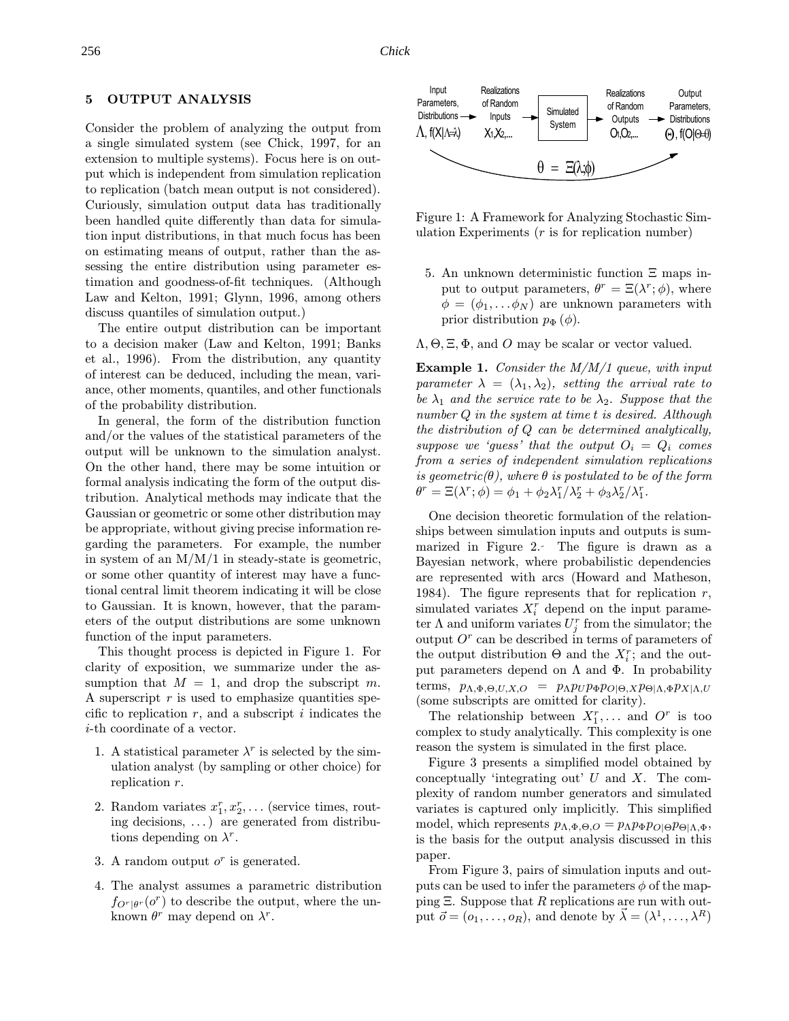# 5 OUTPUT ANALYSIS

Consider the problem of analyzing the output from a single simulated system (see Chick, 1997, for an extension to multiple systems). Focus here is on output which is independent from simulation replication to replication (batch mean output is not considered). Curiously, simulation output data has traditionally been handled quite differently than data for simulation input distributions, in that much focus has been on estimating means of output, rather than the assessing the entire distribution using parameter estimation and goodness-of-fit techniques. (Although Law and Kelton, 1991; Glynn, 1996, among others discuss quantiles of simulation output.)

The entire output distribution can be important to a decision maker (Law and Kelton, 1991; Banks et al., 1996). From the distribution, any quantity of interest can be deduced, including the mean, variance, other moments, quantiles, and other functionals of the probability distribution.

In general, the form of the distribution function and/or the values of the statistical parameters of the output will be unknown to the simulation analyst. On the other hand, there may be some intuition or formal analysis indicating the form of the output distribution. Analytical methods may indicate that the Gaussian or geometric or some other distribution may be appropriate, without giving precise information regarding the parameters. For example, the number in system of an  $M/M/1$  in steady-state is geometric, or some other quantity of interest may have a functional central limit theorem indicating it will be close to Gaussian. It is known, however, that the parameters of the output distributions are some unknown function of the input parameters.

This thought process is depicted in Figure 1. For clarity of exposition, we summarize under the assumption that  $M = 1$ , and drop the subscript m. A superscript  $r$  is used to emphasize quantities specific to replication  $r$ , and a subscript i indicates the i-th coordinate of a vector.

- 1. A statistical parameter  $\lambda^r$  is selected by the simulation analyst (by sampling or other choice) for replication r.
- 2. Random variates  $x_1^r, x_2^r, \ldots$  (service times, routing decisions, . . .) are generated from distributions depending on  $\lambda^r$ .
- 3. A random output  $o^r$  is generated.
- 4. The analyst assumes a parametric distribution  $f_{O<sup>r</sup>|\theta<sup>r</sup>}(o<sup>r</sup>)$  to describe the output, where the unknown  $\theta^r$  may depend on  $\lambda^r$ .



Figure 1: A Framework for Analyzing Stochastic Simulation Experiments  $(r \text{ is for replication number})$ 

5. An unknown deterministic function Ξ maps input to output parameters,  $\theta^r = \Xi(\lambda^r; \phi)$ , where  $\phi = (\phi_1, \ldots \phi_N)$  are unknown parameters with prior distribution  $p_{\Phi}(\phi)$ .

 $\Lambda$ ,  $\Theta$ ,  $\Xi$ ,  $\Phi$ , and O may be scalar or vector valued.

**Example 1.** Consider the  $M/M/1$  queue, with input parameter  $\lambda = (\lambda_1, \lambda_2)$ , setting the arrival rate to be  $\lambda_1$  and the service rate to be  $\lambda_2$ . Suppose that the number Q in the system at time t is desired. Although the distribution of Q can be determined analytically, suppose we 'guess' that the output  $O_i = Q_i$  comes from a series of independent simulation replications is geometric( $\theta$ ), where  $\theta$  is postulated to be of the form  $\theta^r = \Xi(\lambda^r; \phi) = \phi_1 + \phi_2 \lambda_1^r / \lambda_2^r + \phi_3 \lambda_2^r / \lambda_1^r.$ 

One decision theoretic formulation of the relationships between simulation inputs and outputs is summarized in Figure 2. The figure is drawn as a Bayesian network, where probabilistic dependencies are represented with arcs (Howard and Matheson, 1984). The figure represents that for replication  $r$ , simulated variates  $X_i^r$  depend on the input parameter  $\Lambda$  and uniform variates  $U_j^r$  from the simulator; the output  $O<sup>r</sup>$  can be described in terms of parameters of the output distribution  $\Theta$  and the  $X_i^r$ ; and the output parameters depend on  $\Lambda$  and  $\Phi$ . In probability terms,  $p_{\Lambda,\Phi,\Theta,U,X,O} = p_{\Lambda} p_U p_{\Phi} p_{O|\Theta,X} p_{\Theta|\Lambda,\Phi} p_{X|\Lambda,U}$ (some subscripts are omitted for clarity).

The relationship between  $X_1^r, \ldots$  and  $O^r$  is too complex to study analytically. This complexity is one reason the system is simulated in the first place.

Figure 3 presents a simplified model obtained by conceptually 'integrating out'  $U$  and  $X$ . The complexity of random number generators and simulated variates is captured only implicitly. This simplified model, which represents  $p_{\Lambda, \Phi, \Theta, O} = p_{\Lambda} p_{\Phi} p_{O| \Theta} p_{\Theta | \Lambda, \Phi},$ is the basis for the output analysis discussed in this paper.

From Figure 3, pairs of simulation inputs and outputs can be used to infer the parameters  $\phi$  of the mapping  $\Xi$ . Suppose that R replications are run with output  $\vec{o} = (o_1, \ldots, o_R)$ , and denote by  $\vec{\lambda} = (\lambda^1, \ldots, \lambda^R)$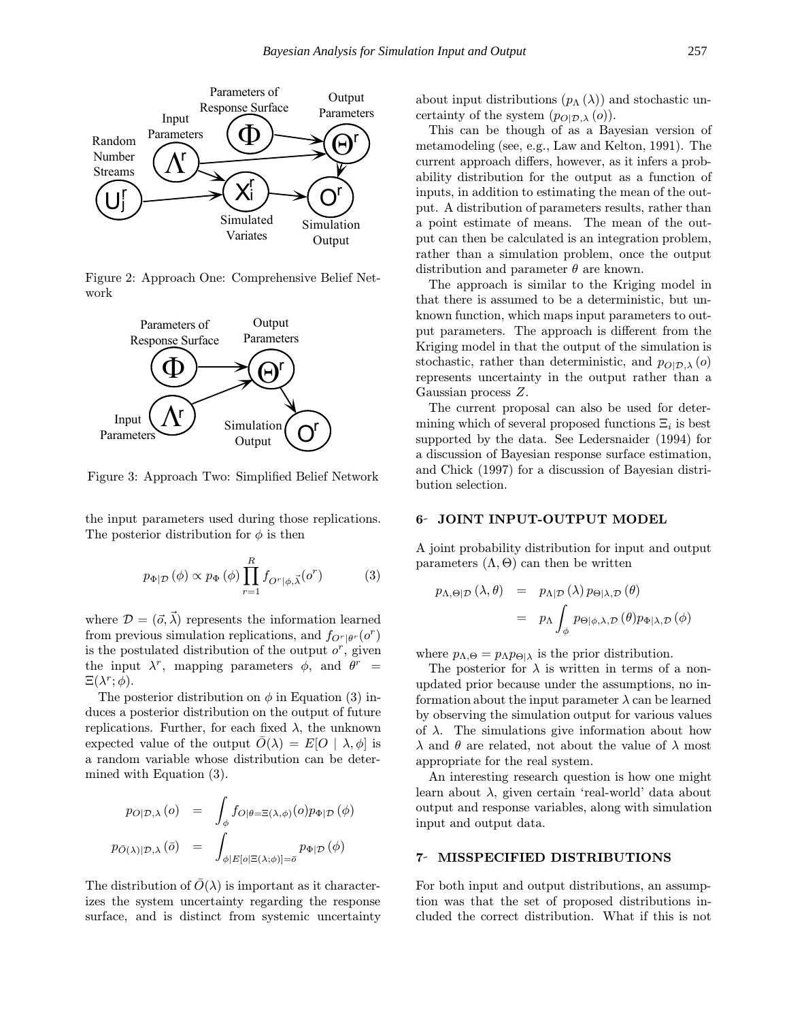

Figure 2: Approach One: Comprehensive Belief Network



Figure 3: Approach Two: Simplified Belief Network

the input parameters used during those replications. The posterior distribution for  $\phi$  is then

$$
p_{\Phi|\mathcal{D}}(\phi) \propto p_{\Phi}(\phi) \prod_{r=1}^{R} f_{O^r|\phi,\vec{\lambda}}(o^r)
$$
 (3)

where  $\mathcal{D} = (\vec{\sigma}, \vec{\lambda})$  represents the information learned from previous simulation replications, and  $f_{O<sup>r</sup>|\theta<sup>r</sup>}(o<sup>r</sup>)$ is the postulated distribution of the output  $o^r$ , given the input  $\lambda^r$ , mapping parameters  $\phi$ , and  $\theta^r$  =  $\Xi(\lambda^r;\phi).$ 

The posterior distribution on  $\phi$  in Equation (3) induces a posterior distribution on the output of future replications. Further, for each fixed  $\lambda$ , the unknown expected value of the output  $\overline{O}(\lambda) = E[O \mid \lambda, \phi]$  is a random variable whose distribution can be determined with Equation (3).

$$
p_{O|\mathcal{D},\lambda}(o) = \int_{\phi} f_{O|\theta=\Xi(\lambda,\phi)}(o) p_{\Phi|\mathcal{D}}(\phi)
$$

$$
p_{\bar{O}(\lambda)|\mathcal{D},\lambda}(\bar{o}) = \int_{\phi|E[o]\Xi(\lambda;\phi)]=\bar{o}} p_{\Phi|\mathcal{D}}(\phi)
$$

The distribution of  $\overline{O}(\lambda)$  is important as it characterizes the system uncertainty regarding the response surface, and is distinct from systemic uncertainty about input distributions  $(p_\Lambda(\lambda))$  and stochastic uncertainty of the system  $(p_{O|\mathcal{D},\lambda}(o)).$ 

This can be though of as a Bayesian version of metamodeling (see, e.g., Law and Kelton, 1991). The current approach differs, however, as it infers a probability distribution for the output as a function of inputs, in addition to estimating the mean of the output. A distribution of parameters results, rather than a point estimate of means. The mean of the output can then be calculated is an integration problem, rather than a simulation problem, once the output distribution and parameter  $\theta$  are known.

The approach is similar to the Kriging model in that there is assumed to be a deterministic, but unknown function, which maps input parameters to output parameters. The approach is different from the Kriging model in that the output of the simulation is stochastic, rather than deterministic, and  $p_{O|D,\lambda}(o)$ represents uncertainty in the output rather than a Gaussian process Z.

The current proposal can also be used for determining which of several proposed functions  $\Xi_i$  is best supported by the data. See Ledersnaider (1994) for a discussion of Bayesian response surface estimation, and Chick (1997) for a discussion of Bayesian distribution selection.

#### 6 JOINT INPUT-OUTPUT MODEL

A joint probability distribution for input and output parameters  $(Λ, Θ)$  can then be written

$$
p_{\Lambda,\Theta|\mathcal{D}}(\lambda,\theta) = p_{\Lambda|\mathcal{D}}(\lambda) p_{\Theta|\lambda,\mathcal{D}}(\theta)
$$
  
=  $p_{\Lambda} \int_{\phi} p_{\Theta|\phi,\lambda,\mathcal{D}}(\theta) p_{\Phi|\lambda,\mathcal{D}}(\phi)$ 

where  $p_{\Lambda,\Theta} = p_{\Lambda}p_{\Theta|\lambda}$  is the prior distribution.

The posterior for  $\lambda$  is written in terms of a nonupdated prior because under the assumptions, no information about the input parameter  $\lambda$  can be learned by observing the simulation output for various values of  $\lambda$ . The simulations give information about how  $\lambda$  and  $\theta$  are related, not about the value of  $\lambda$  most appropriate for the real system.

An interesting research question is how one might learn about  $\lambda$ , given certain 'real-world' data about output and response variables, along with simulation input and output data.

## 7 MISSPECIFIED DISTRIBUTIONS

For both input and output distributions, an assumption was that the set of proposed distributions included the correct distribution. What if this is not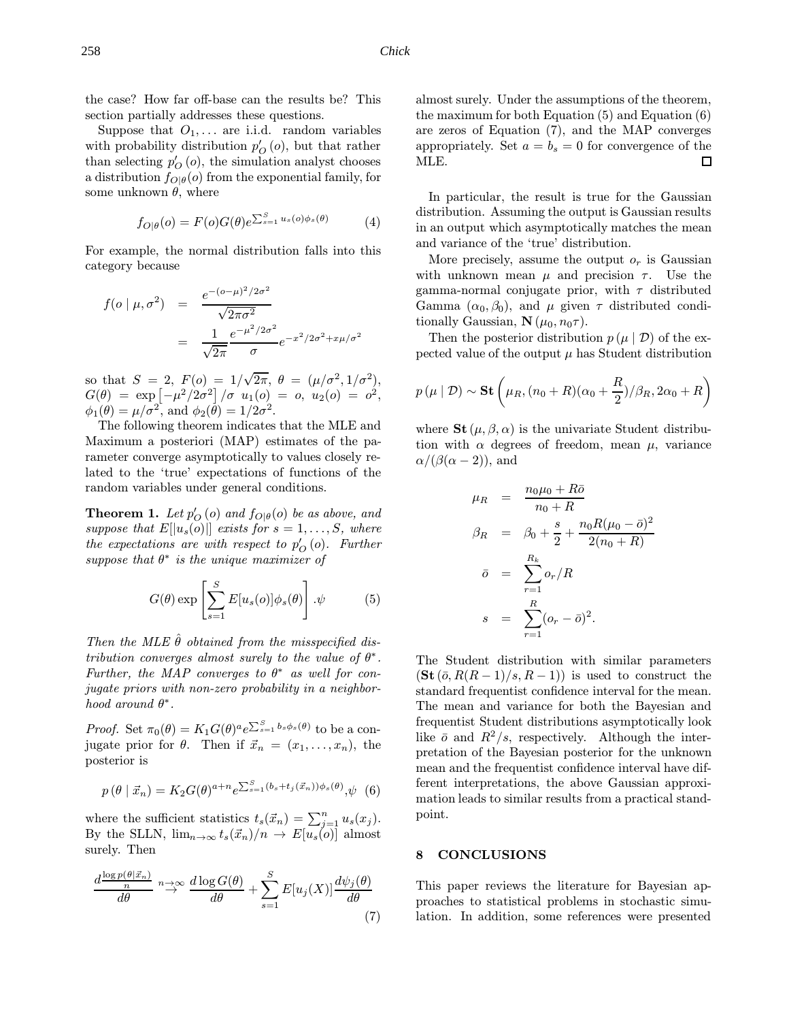the case? How far off-base can the results be? This section partially addresses these questions.

Suppose that  $O_1, \ldots$  are i.i.d. random variables with probability distribution  $p'_O\left(o\right)$ , but that rather than selecting  $p'_O(i)$ , the simulation analyst chooses a distribution  $f_{O|\theta}(o)$  from the exponential family, for some unknown  $\theta$ , where

$$
f_{O|\theta}(o) = F(o)G(\theta)e^{\sum_{s=1}^{S}u_s(o)\phi_s(\theta)} \tag{4}
$$

For example, the normal distribution falls into this category because

$$
f(o \mid \mu, \sigma^2) = \frac{e^{-(o-\mu)^2/2\sigma^2}}{\sqrt{2\pi\sigma^2}}
$$
  
= 
$$
\frac{1}{\sqrt{2\pi}} \frac{e^{-\mu^2/2\sigma^2}}{\sigma} e^{-x^2/2\sigma^2 + x\mu/\sigma^2}
$$

so that  $S = 2$ ,  $F(o) = 1/\sqrt{2\pi}, \ \theta = (\mu/\sigma^2, 1/\sigma^2),$  $G(\theta) \;=\; \exp \left[ -\mu^2/2\sigma^2 \right]/\sigma \;\; u_1(o) \;=\; o,\; u_2(o) \;=\; o^2,$  $\phi_1(\theta) = \mu/\sigma^2$ , and  $\phi_2(\tilde{\theta}) = 1/2\sigma^2$ .

The following theorem indicates that the MLE and Maximum a posteriori (MAP) estimates of the parameter converge asymptotically to values closely related to the 'true' expectations of functions of the random variables under general conditions.

**Theorem 1.** Let  $p'_O$  (o) and  $f_{O|\theta}(o)$  be as above, and suppose that  $E[|u_s(o)|]$  exists for  $s = 1, \ldots, S$ , where the expectations are with respect to  $p'_{O}(o)$ . Further suppose that  $\theta^*$  is the unique maximizer of

$$
G(\theta) \exp \left[ \sum_{s=1}^{S} E[u_s(o)] \phi_s(\theta) \right] . \psi \tag{5}
$$

Then the MLE  $\hat{\theta}$  obtained from the misspecified distribution converges almost surely to the value of  $\theta^*$ . Further, the MAP converges to  $\theta^*$  as well for conjugate priors with non-zero probability in a neighborhood around  $\theta^*$ .

*Proof.* Set  $\pi_0(\theta) = K_1 G(\theta)^\alpha e^{\sum_{s=1}^S b_s \phi_s(\theta)}$  to be a conjugate prior for  $\theta$ . Then if  $\vec{x}_n = (x_1, \ldots, x_n)$ , the posterior is

$$
p(\theta \mid \vec{x}_n) = K_2 G(\theta)^{a+n} e^{\sum_{s=1}^{S} (b_s + t_j(\vec{x}_n))\phi_s(\theta)}, \psi
$$
 (6)

where the sufficient statistics  $t_s(\vec{x}_n) = \sum_{j=1}^n u_s(x_j)$ . By the SLLN,  $\lim_{n\to\infty} t_s(\vec{x}_n)/n \to E[u_s(o)]$  almost surely. Then

$$
\frac{d\frac{\log p(\theta|\vec{x}_n)}{n}}{d\theta} \stackrel{n \to \infty}{\to} \frac{d\log G(\theta)}{d\theta} + \sum_{s=1}^{S} E[u_j(X)] \frac{d\psi_j(\theta)}{d\theta} \tag{7}
$$

almost surely. Under the assumptions of the theorem, the maximum for both Equation (5) and Equation (6) are zeros of Equation (7), and the MAP converges appropriately. Set  $a = b_s = 0$  for convergence of the MLE.  $\Box$ 

In particular, the result is true for the Gaussian distribution. Assuming the output is Gaussian results in an output which asymptotically matches the mean and variance of the 'true' distribution.

More precisely, assume the output  $o_r$  is Gaussian with unknown mean  $\mu$  and precision  $\tau$ . Use the gamma-normal conjugate prior, with  $\tau$  distributed Gamma  $(\alpha_0, \beta_0)$ , and  $\mu$  given  $\tau$  distributed conditionally Gaussian,  $\mathbf{N}(\mu_0, n_0\tau)$ .

Then the posterior distribution  $p(\mu | \mathcal{D})$  of the expected value of the output  $\mu$  has Student distribution

$$
p(\mu | \mathcal{D}) \sim \mathbf{St}\left(\mu_R, (n_0 + R)(\alpha_0 + \frac{R}{2})/\beta_R, 2\alpha_0 + R\right)
$$

where  $\mathbf{St}(\mu,\beta,\alpha)$  is the univariate Student distribution with  $\alpha$  degrees of freedom, mean  $\mu$ , variance  $\alpha/(\beta(\alpha-2))$ , and

$$
\mu_R = \frac{n_0 \mu_0 + R\bar{\sigma}}{n_0 + R}
$$
\n
$$
\beta_R = \beta_0 + \frac{s}{2} + \frac{n_0 R(\mu_0 - \bar{\sigma})^2}{2(n_0 + R)}
$$
\n
$$
\bar{\sigma} = \sum_{r=1}^{R_k} o_r / R
$$
\n
$$
s = \sum_{r=1}^R (o_r - \bar{\sigma})^2.
$$

The Student distribution with similar parameters  $(\textbf{St}(\bar{o}, R(R-1)/s, R-1))$  is used to construct the standard frequentist confidence interval for the mean. The mean and variance for both the Bayesian and frequentist Student distributions asymptotically look like  $\bar{o}$  and  $R^2/s$ , respectively. Although the interpretation of the Bayesian posterior for the unknown mean and the frequentist confidence interval have different interpretations, the above Gaussian approximation leads to similar results from a practical standpoint.

### 8 CONCLUSIONS

This paper reviews the literature for Bayesian approaches to statistical problems in stochastic simulation. In addition, some references were presented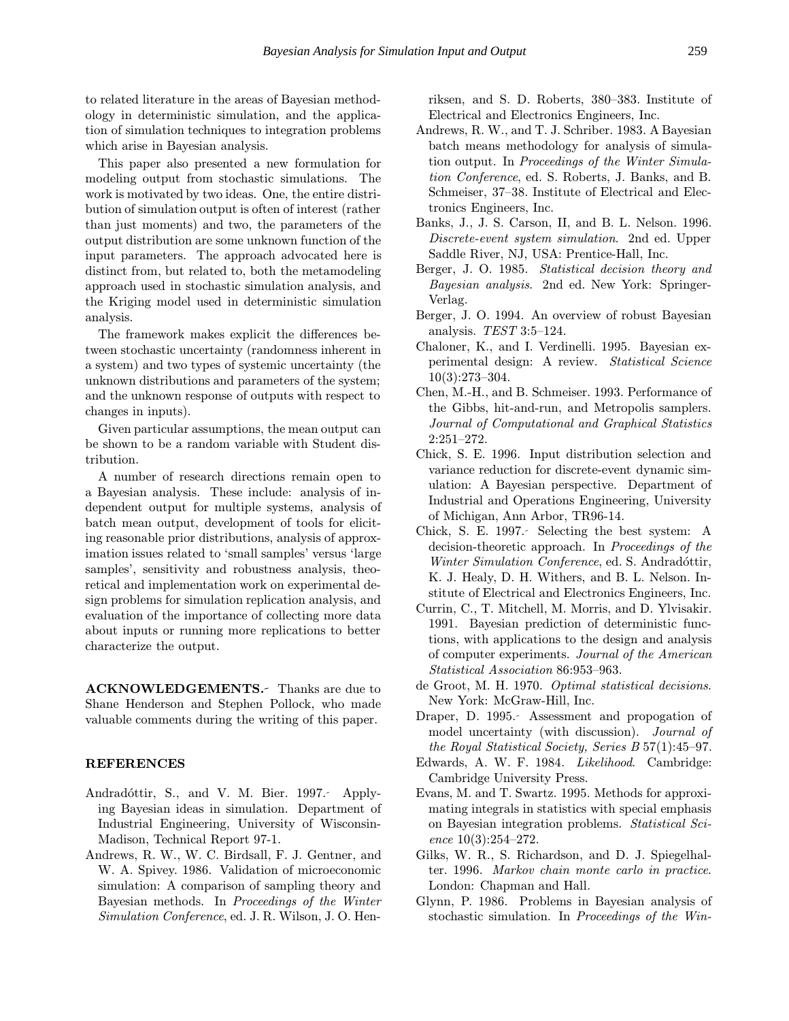to related literature in the areas of Bayesian methodology in deterministic simulation, and the application of simulation techniques to integration problems which arise in Bayesian analysis.

This paper also presented a new formulation for modeling output from stochastic simulations. The work is motivated by two ideas. One, the entire distribution of simulation output is often of interest (rather than just moments) and two, the parameters of the output distribution are some unknown function of the input parameters. The approach advocated here is distinct from, but related to, both the metamodeling approach used in stochastic simulation analysis, and the Kriging model used in deterministic simulation analysis.

The framework makes explicit the differences between stochastic uncertainty (randomness inherent in a system) and two types of systemic uncertainty (the unknown distributions and parameters of the system; and the unknown response of outputs with respect to changes in inputs).

Given particular assumptions, the mean output can be shown to be a random variable with Student distribution.

A number of research directions remain open to a Bayesian analysis. These include: analysis of independent output for multiple systems, analysis of batch mean output, development of tools for eliciting reasonable prior distributions, analysis of approximation issues related to 'small samples' versus 'large samples', sensitivity and robustness analysis, theoretical and implementation work on experimental design problems for simulation replication analysis, and evaluation of the importance of collecting more data about inputs or running more replications to better characterize the output.

ACKNOWLEDGEMENTS. Thanks are due to Shane Henderson and Stephen Pollock, who made valuable comments during the writing of this paper.

## REFERENCES

- Andradóttir, S., and V. M. Bier. 1997. Applying Bayesian ideas in simulation. Department of Industrial Engineering, University of Wisconsin-Madison, Technical Report 97-1.
- Andrews, R. W., W. C. Birdsall, F. J. Gentner, and W. A. Spivey. 1986. Validation of microeconomic simulation: A comparison of sampling theory and Bayesian methods. In Proceedings of the Winter Simulation Conference, ed. J. R. Wilson, J. O. Hen-

riksen, and S. D. Roberts, 380–383. Institute of Electrical and Electronics Engineers, Inc.

- Andrews, R. W., and T. J. Schriber. 1983. A Bayesian batch means methodology for analysis of simulation output. In Proceedings of the Winter Simulation Conference, ed. S. Roberts, J. Banks, and B. Schmeiser, 37–38. Institute of Electrical and Electronics Engineers, Inc.
- Banks, J., J. S. Carson, II, and B. L. Nelson. 1996. Discrete-event system simulation. 2nd ed. Upper Saddle River, NJ, USA: Prentice-Hall, Inc.
- Berger, J. O. 1985. Statistical decision theory and Bayesian analysis. 2nd ed. New York: Springer-Verlag.
- Berger, J. O. 1994. An overview of robust Bayesian analysis. TEST 3:5–124.
- Chaloner, K., and I. Verdinelli. 1995. Bayesian experimental design: A review. Statistical Science 10(3):273–304.
- Chen, M.-H., and B. Schmeiser. 1993. Performance of the Gibbs, hit-and-run, and Metropolis samplers. Journal of Computational and Graphical Statistics 2:251–272.
- Chick, S. E. 1996. Input distribution selection and variance reduction for discrete-event dynamic simulation: A Bayesian perspective. Department of Industrial and Operations Engineering, University of Michigan, Ann Arbor, TR96-14.
- Chick, S. E. 1997. Selecting the best system: A decision-theoretic approach. In Proceedings of the Winter Simulation Conference, ed. S. Andradóttir, K. J. Healy, D. H. Withers, and B. L. Nelson. Institute of Electrical and Electronics Engineers, Inc.
- Currin, C., T. Mitchell, M. Morris, and D. Ylvisakir. 1991. Bayesian prediction of deterministic functions, with applications to the design and analysis of computer experiments. Journal of the American Statistical Association 86:953–963.
- de Groot, M. H. 1970. Optimal statistical decisions. New York: McGraw-Hill, Inc.
- Draper, D. 1995. Assessment and propogation of model uncertainty (with discussion). Journal of the Royal Statistical Society, Series B 57(1):45–97.
- Edwards, A. W. F. 1984. Likelihood. Cambridge: Cambridge University Press.
- Evans, M. and T. Swartz. 1995. Methods for approximating integrals in statistics with special emphasis on Bayesian integration problems. Statistical Science 10(3):254–272.
- Gilks, W. R., S. Richardson, and D. J. Spiegelhalter. 1996. Markov chain monte carlo in practice. London: Chapman and Hall.
- Glynn, P. 1986. Problems in Bayesian analysis of stochastic simulation. In Proceedings of the Win-